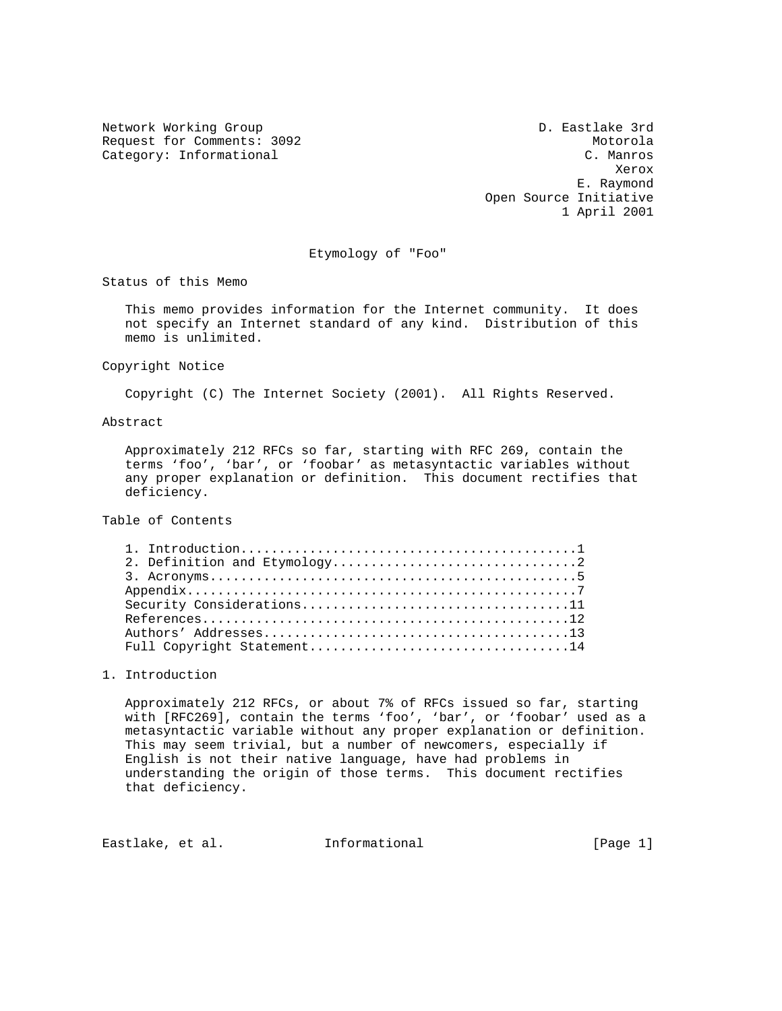Request for Comments: 3092<br>
Category: Informational Category: Informational C. Manros Category: Informational

Network Working Group D. Eastlake 3rd **Xerox Xerox**  E. Raymond Open Source Initiative 1 April 2001

Etymology of "Foo"

Status of this Memo

 This memo provides information for the Internet community. It does not specify an Internet standard of any kind. Distribution of this memo is unlimited.

Copyright Notice

Copyright (C) The Internet Society (2001). All Rights Reserved.

Abstract

 Approximately 212 RFCs so far, starting with RFC 269, contain the terms 'foo', 'bar', or 'foobar' as metasyntactic variables without any proper explanation or definition. This document rectifies that deficiency.

Table of Contents

# 1. Introduction

 Approximately 212 RFCs, or about 7% of RFCs issued so far, starting with [RFC269], contain the terms 'foo', 'bar', or 'foobar' used as a metasyntactic variable without any proper explanation or definition. This may seem trivial, but a number of newcomers, especially if English is not their native language, have had problems in understanding the origin of those terms. This document rectifies that deficiency.

Eastlake, et al. 1nformational 1999 [Page 1]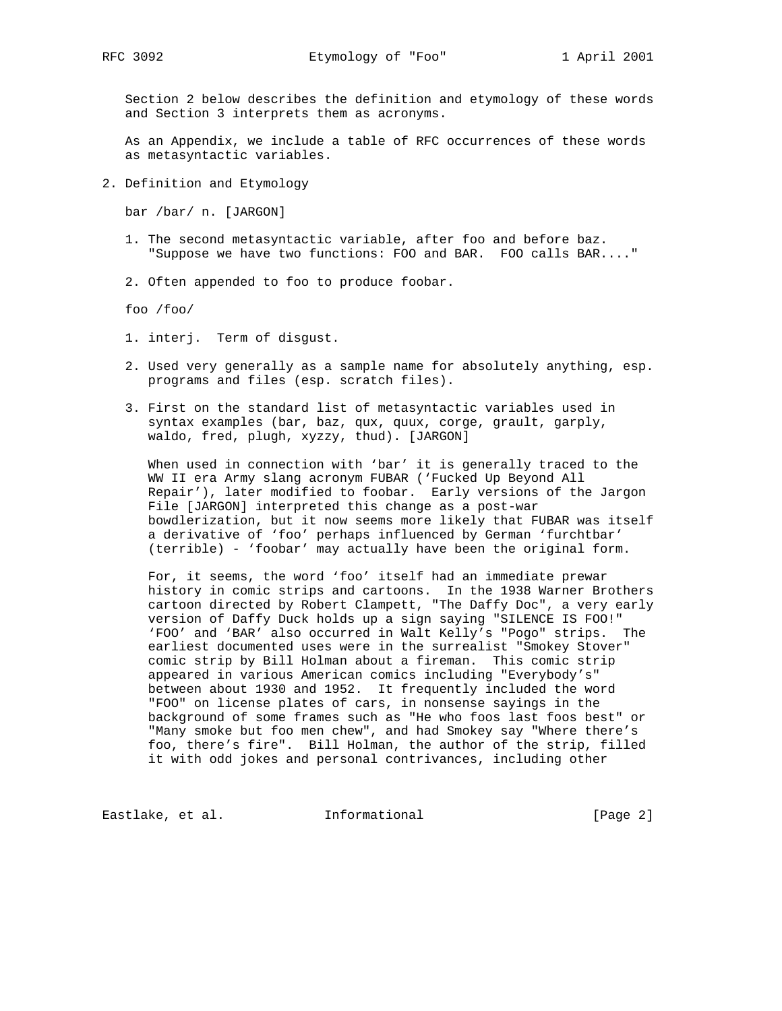Section 2 below describes the definition and etymology of these words and Section 3 interprets them as acronyms.

 As an Appendix, we include a table of RFC occurrences of these words as metasyntactic variables.

2. Definition and Etymology

bar /bar/ n. [JARGON]

- 1. The second metasyntactic variable, after foo and before baz. "Suppose we have two functions: FOO and BAR. FOO calls BAR...."
- 2. Often appended to foo to produce foobar.

foo /foo/

- 1. interj. Term of disgust.
- 2. Used very generally as a sample name for absolutely anything, esp. programs and files (esp. scratch files).
- 3. First on the standard list of metasyntactic variables used in syntax examples (bar, baz, qux, quux, corge, grault, garply, waldo, fred, plugh, xyzzy, thud). [JARGON]

 When used in connection with 'bar' it is generally traced to the WW II era Army slang acronym FUBAR ('Fucked Up Beyond All Repair'), later modified to foobar. Early versions of the Jargon File [JARGON] interpreted this change as a post-war bowdlerization, but it now seems more likely that FUBAR was itself a derivative of 'foo' perhaps influenced by German 'furchtbar' (terrible) - 'foobar' may actually have been the original form.

 For, it seems, the word 'foo' itself had an immediate prewar history in comic strips and cartoons. In the 1938 Warner Brothers cartoon directed by Robert Clampett, "The Daffy Doc", a very early version of Daffy Duck holds up a sign saying "SILENCE IS FOO!" 'FOO' and 'BAR' also occurred in Walt Kelly's "Pogo" strips. The earliest documented uses were in the surrealist "Smokey Stover" comic strip by Bill Holman about a fireman. This comic strip appeared in various American comics including "Everybody's" between about 1930 and 1952. It frequently included the word "FOO" on license plates of cars, in nonsense sayings in the background of some frames such as "He who foos last foos best" or "Many smoke but foo men chew", and had Smokey say "Where there's foo, there's fire". Bill Holman, the author of the strip, filled it with odd jokes and personal contrivances, including other

Eastlake, et al. 1nformational 1999 [Page 2]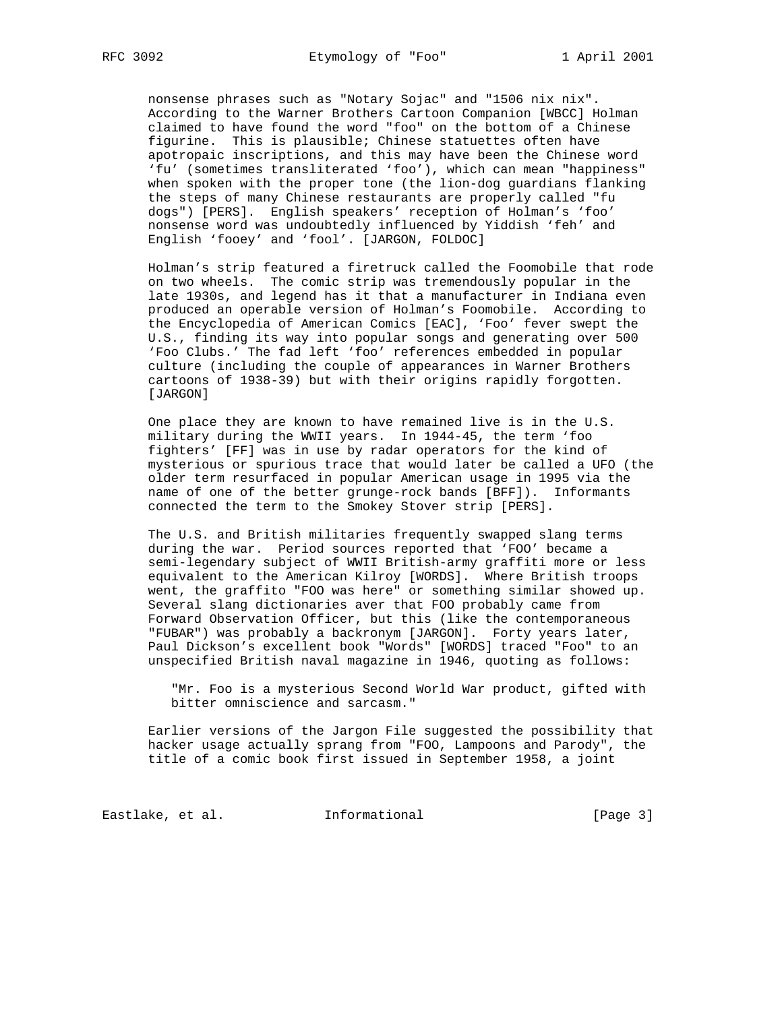nonsense phrases such as "Notary Sojac" and "1506 nix nix". According to the Warner Brothers Cartoon Companion [WBCC] Holman claimed to have found the word "foo" on the bottom of a Chinese figurine. This is plausible; Chinese statuettes often have apotropaic inscriptions, and this may have been the Chinese word 'fu' (sometimes transliterated 'foo'), which can mean "happiness" when spoken with the proper tone (the lion-dog guardians flanking the steps of many Chinese restaurants are properly called "fu dogs") [PERS]. English speakers' reception of Holman's 'foo' nonsense word was undoubtedly influenced by Yiddish 'feh' and English 'fooey' and 'fool'. [JARGON, FOLDOC]

 Holman's strip featured a firetruck called the Foomobile that rode on two wheels. The comic strip was tremendously popular in the late 1930s, and legend has it that a manufacturer in Indiana even produced an operable version of Holman's Foomobile. According to the Encyclopedia of American Comics [EAC], 'Foo' fever swept the U.S., finding its way into popular songs and generating over 500 'Foo Clubs.' The fad left 'foo' references embedded in popular culture (including the couple of appearances in Warner Brothers cartoons of 1938-39) but with their origins rapidly forgotten. [JARGON]

 One place they are known to have remained live is in the U.S. military during the WWII years. In 1944-45, the term 'foo fighters' [FF] was in use by radar operators for the kind of mysterious or spurious trace that would later be called a UFO (the older term resurfaced in popular American usage in 1995 via the name of one of the better grunge-rock bands [BFF]). Informants connected the term to the Smokey Stover strip [PERS].

 The U.S. and British militaries frequently swapped slang terms during the war. Period sources reported that 'FOO' became a semi-legendary subject of WWII British-army graffiti more or less equivalent to the American Kilroy [WORDS]. Where British troops went, the graffito "FOO was here" or something similar showed up. Several slang dictionaries aver that FOO probably came from Forward Observation Officer, but this (like the contemporaneous "FUBAR") was probably a backronym [JARGON]. Forty years later, Paul Dickson's excellent book "Words" [WORDS] traced "Foo" to an unspecified British naval magazine in 1946, quoting as follows:

 "Mr. Foo is a mysterious Second World War product, gifted with bitter omniscience and sarcasm."

 Earlier versions of the Jargon File suggested the possibility that hacker usage actually sprang from "FOO, Lampoons and Parody", the title of a comic book first issued in September 1958, a joint

Eastlake, et al. 1nformational 1999 [Page 3]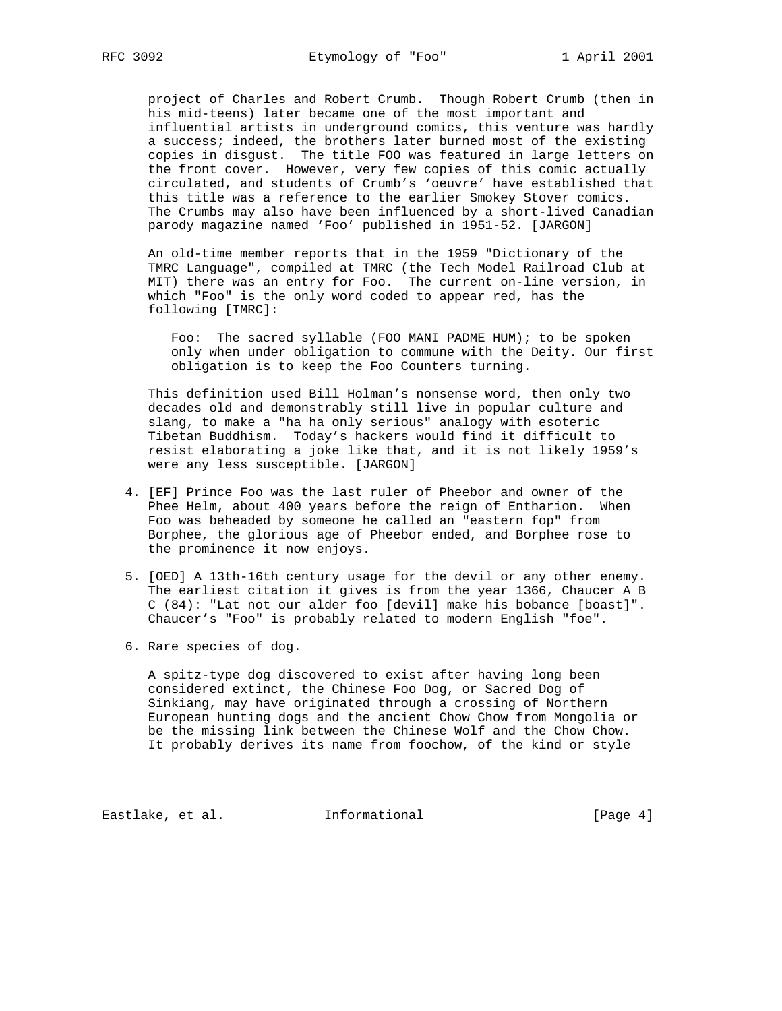project of Charles and Robert Crumb. Though Robert Crumb (then in his mid-teens) later became one of the most important and influential artists in underground comics, this venture was hardly a success; indeed, the brothers later burned most of the existing copies in disgust. The title FOO was featured in large letters on the front cover. However, very few copies of this comic actually circulated, and students of Crumb's 'oeuvre' have established that this title was a reference to the earlier Smokey Stover comics. The Crumbs may also have been influenced by a short-lived Canadian parody magazine named 'Foo' published in 1951-52. [JARGON]

 An old-time member reports that in the 1959 "Dictionary of the TMRC Language", compiled at TMRC (the Tech Model Railroad Club at MIT) there was an entry for Foo. The current on-line version, in which "Foo" is the only word coded to appear red, has the following [TMRC]:

 Foo: The sacred syllable (FOO MANI PADME HUM); to be spoken only when under obligation to commune with the Deity. Our first obligation is to keep the Foo Counters turning.

 This definition used Bill Holman's nonsense word, then only two decades old and demonstrably still live in popular culture and slang, to make a "ha ha only serious" analogy with esoteric Tibetan Buddhism. Today's hackers would find it difficult to resist elaborating a joke like that, and it is not likely 1959's were any less susceptible. [JARGON]

- 4. [EF] Prince Foo was the last ruler of Pheebor and owner of the Phee Helm, about 400 years before the reign of Entharion. When Foo was beheaded by someone he called an "eastern fop" from Borphee, the glorious age of Pheebor ended, and Borphee rose to the prominence it now enjoys.
- 5. [OED] A 13th-16th century usage for the devil or any other enemy. The earliest citation it gives is from the year 1366, Chaucer A B C (84): "Lat not our alder foo [devil] make his bobance [boast]". Chaucer's "Foo" is probably related to modern English "foe".
- 6. Rare species of dog.

 A spitz-type dog discovered to exist after having long been considered extinct, the Chinese Foo Dog, or Sacred Dog of Sinkiang, may have originated through a crossing of Northern European hunting dogs and the ancient Chow Chow from Mongolia or be the missing link between the Chinese Wolf and the Chow Chow. It probably derives its name from foochow, of the kind or style

Eastlake, et al. 1nformational 1999 [Page 4]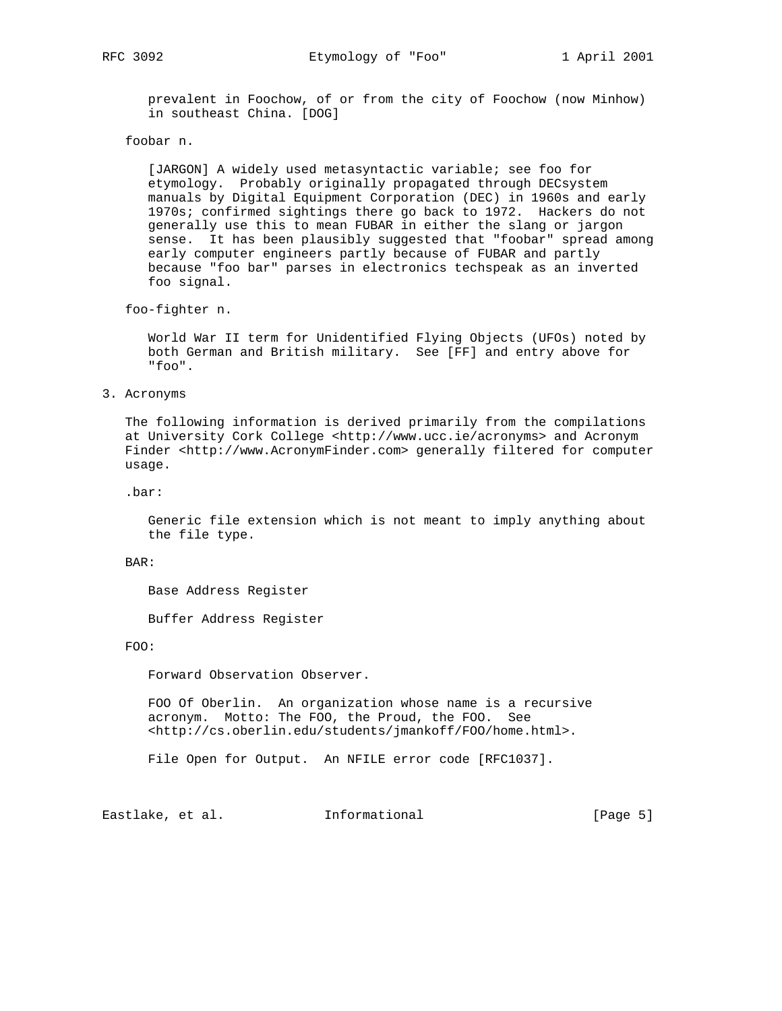prevalent in Foochow, of or from the city of Foochow (now Minhow) in southeast China. [DOG]

foobar n.

 [JARGON] A widely used metasyntactic variable; see foo for etymology. Probably originally propagated through DECsystem manuals by Digital Equipment Corporation (DEC) in 1960s and early 1970s; confirmed sightings there go back to 1972. Hackers do not generally use this to mean FUBAR in either the slang or jargon sense. It has been plausibly suggested that "foobar" spread among early computer engineers partly because of FUBAR and partly because "foo bar" parses in electronics techspeak as an inverted foo signal.

foo-fighter n.

 World War II term for Unidentified Flying Objects (UFOs) noted by both German and British military. See [FF] and entry above for "foo".

### 3. Acronyms

 The following information is derived primarily from the compilations at University Cork College <http://www.ucc.ie/acronyms> and Acronym Finder <http://www.AcronymFinder.com> generally filtered for computer usage.

.bar:

 Generic file extension which is not meant to imply anything about the file type.

BAR:

Base Address Register

Buffer Address Register

#### FOO:

Forward Observation Observer.

 FOO Of Oberlin. An organization whose name is a recursive acronym. Motto: The FOO, the Proud, the FOO. See <http://cs.oberlin.edu/students/jmankoff/FOO/home.html>.

File Open for Output. An NFILE error code [RFC1037].

Eastlake, et al. 1nformational [Page 5]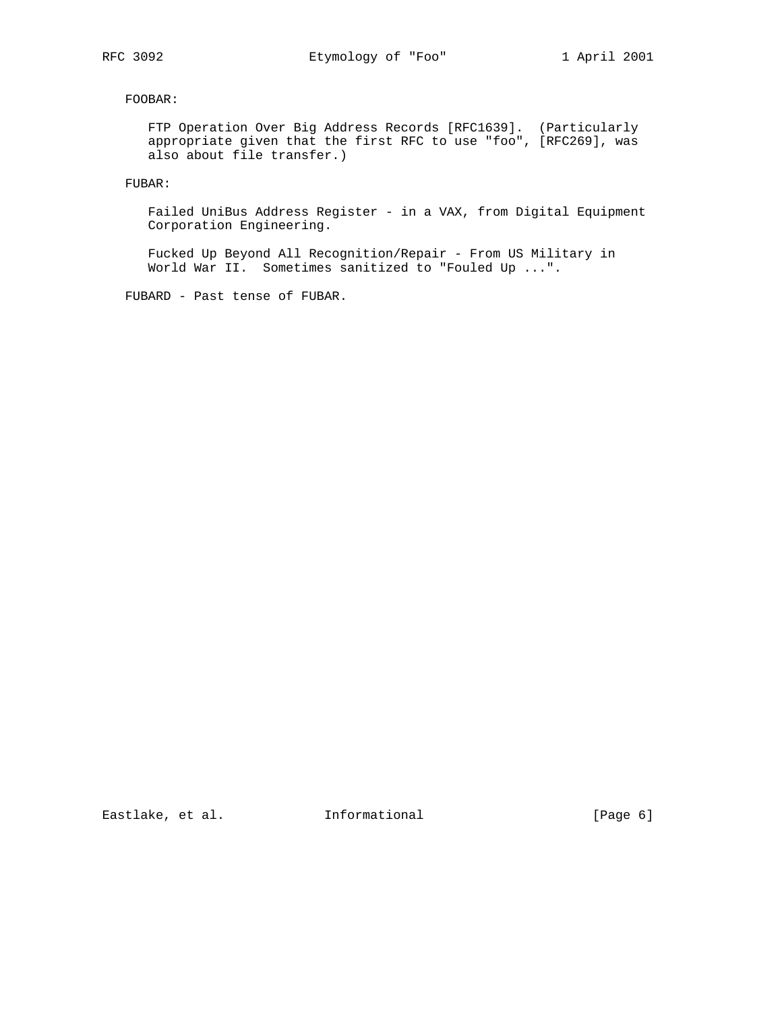FOOBAR:

 FTP Operation Over Big Address Records [RFC1639]. (Particularly appropriate given that the first RFC to use "foo", [RFC269], was also about file transfer.)

FUBAR:

 Failed UniBus Address Register - in a VAX, from Digital Equipment Corporation Engineering.

 Fucked Up Beyond All Recognition/Repair - From US Military in World War II. Sometimes sanitized to "Fouled Up ...".

FUBARD - Past tense of FUBAR.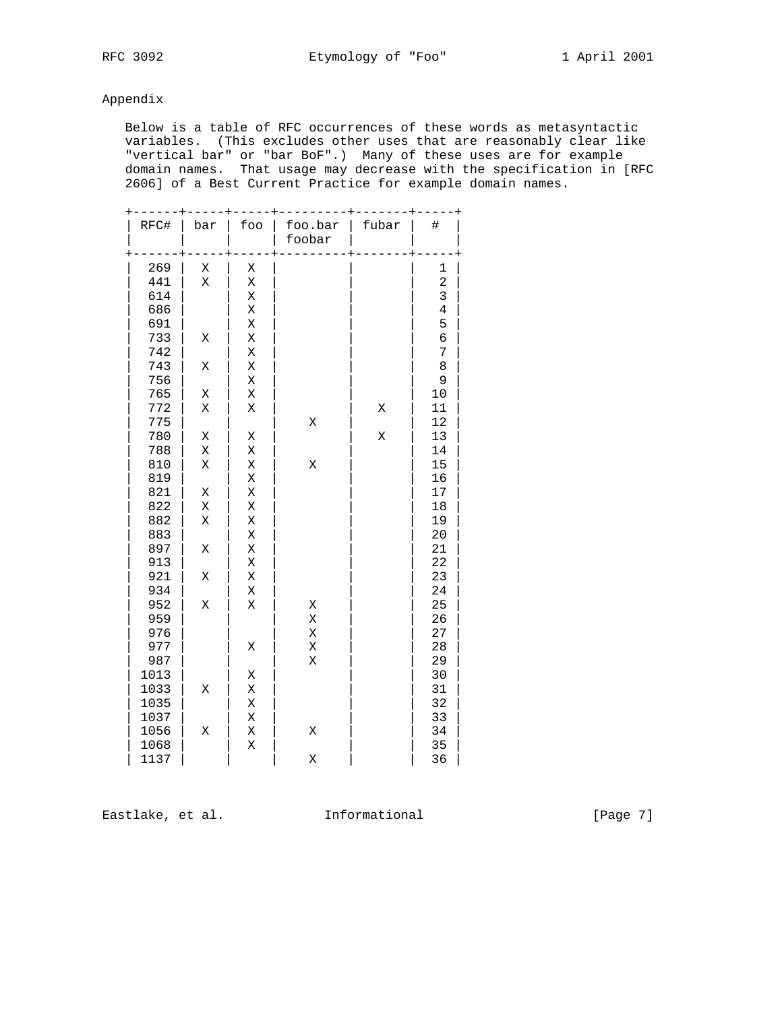# Appendix

 Below is a table of RFC occurrences of these words as metasyntactic variables. (This excludes other uses that are reasonably clear like "vertical bar" or "bar BoF".) Many of these uses are for example domain names. That usage may decrease with the specification in [RFC 2606] of a Best Current Practice for example domain names.

| RFC# | bar | foo | foo.bar<br>foobar | fubar | #              |
|------|-----|-----|-------------------|-------|----------------|
| 269  | Χ   | Χ   |                   |       | 1              |
| 441  | X   | Χ   |                   |       | $\overline{a}$ |
| 614  |     | Χ   |                   |       | 3              |
| 686  |     | Χ   |                   |       | $\overline{4}$ |
| 691  |     | Χ   |                   |       | 5              |
| 733  | Χ   | Χ   |                   |       | б              |
| 742  |     | Χ   |                   |       | 7              |
| 743  | Χ   | Χ   |                   |       | 8              |
| 756  |     | Χ   |                   |       | 9              |
| 765  | Χ   | Χ   |                   |       | 10             |
| 772  | Χ   | Χ   |                   | Χ     | 11             |
| 775  |     |     | X                 |       | 12             |
| 780  | Χ   | Χ   |                   | X     | 13             |
| 788  | Χ   | Χ   |                   |       | 14             |
| 810  | Χ   | Χ   | X                 |       | 15             |
| 819  |     | Χ   |                   |       | 16             |
| 821  | Χ   | Χ   |                   |       | 17             |
| 822  | Χ   | Χ   |                   |       | 18             |
| 882  | Χ   | Χ   |                   |       | 19             |
| 883  |     | Χ   |                   |       | 20             |
| 897  | Χ   | Χ   |                   |       | 21             |
| 913  |     | Χ   |                   |       | 22             |
| 921  | Χ   | Χ   |                   |       | 23             |
| 934  |     | Χ   |                   |       | 24             |
| 952  | Χ   | X   | Χ                 |       | 25             |
| 959  |     |     | $\rm X$           |       | 26             |
| 976  |     |     | X                 |       | 27             |
| 977  |     | Χ   | Χ                 |       | 28             |
| 987  |     |     | Χ                 |       | 29             |
| 1013 |     | Χ   |                   |       | 30             |
| 1033 | Χ   | Χ   |                   |       | 31             |
| 1035 |     | Χ   |                   |       | 32             |
| 1037 |     | Χ   |                   |       | 33             |
| 1056 | Χ   | Χ   | X                 |       | 34             |
| 1068 |     | Χ   |                   |       | 35             |
| 1137 |     |     | X                 |       | 36             |

Eastlake, et al. 1nformational 1999 [Page 7]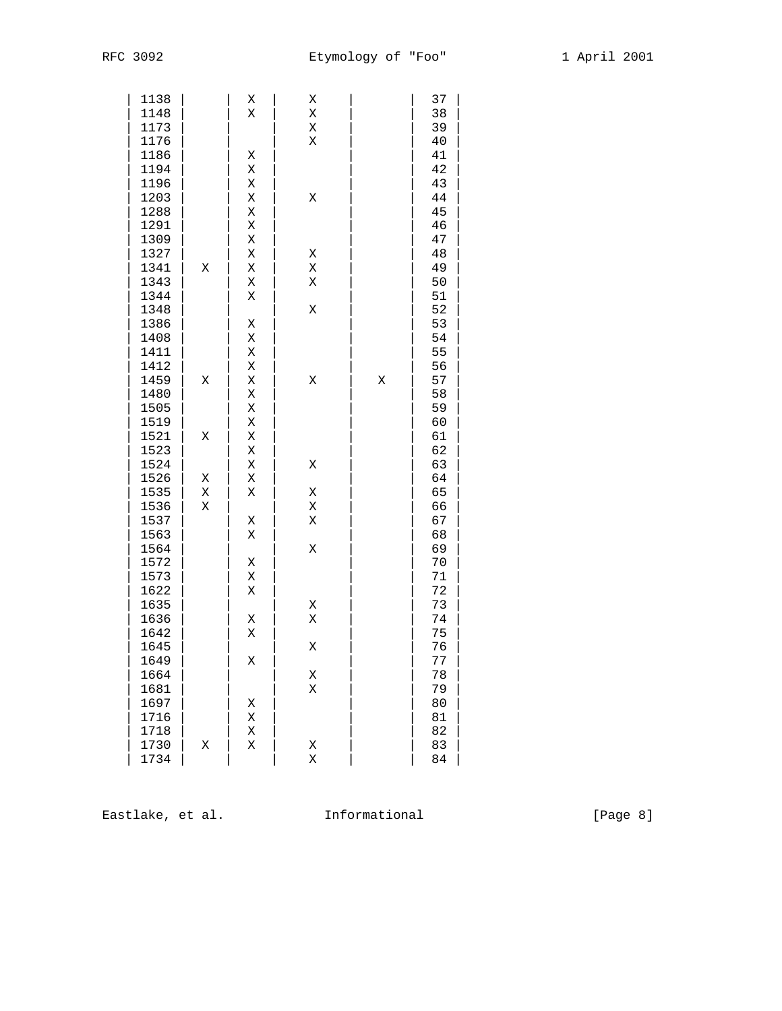| 1138 |   | Χ | Χ |   | 37     |  |
|------|---|---|---|---|--------|--|
| 1148 |   | Χ | Χ |   | 38     |  |
| 1173 |   |   | Χ |   | 39     |  |
| 1176 |   |   | Χ |   | 40     |  |
| 1186 |   | Χ |   |   | 41     |  |
| 1194 |   | Χ |   |   | 42     |  |
| 1196 |   | Χ |   |   | 43     |  |
| 1203 |   | Χ | Χ |   | $4\,4$ |  |
| 1288 |   | Χ |   |   | 45     |  |
| 1291 |   | Χ |   |   | 46     |  |
| 1309 |   | Χ |   |   | 47     |  |
| 1327 |   | Χ | Χ |   | $4\,8$ |  |
| 1341 | Χ | Χ | Χ |   | 49     |  |
| 1343 |   | Χ | Χ |   | 50     |  |
| 1344 |   | Χ |   |   | 51     |  |
| 1348 |   |   | Χ |   | 52     |  |
| 1386 |   | Χ |   |   | 53     |  |
| 1408 |   | Χ |   |   | 54     |  |
| 1411 |   | Χ |   |   | 55     |  |
| 1412 |   | Χ |   |   | 56     |  |
| 1459 | Χ | Χ | Χ | Χ | 57     |  |
| 1480 |   | Χ |   |   | 58     |  |
| 1505 |   | Χ |   |   | 59     |  |
| 1519 |   | Χ |   |   | 60     |  |
| 1521 | Χ | Χ |   |   | 61     |  |
| 1523 |   | Χ |   |   | 62     |  |
| 1524 |   | Χ | Χ |   | 63     |  |
| 1526 | Χ | Χ |   |   | 64     |  |
| 1535 | Χ | Χ | Χ |   | 65     |  |
| 1536 | Χ |   | Χ |   | 66     |  |
| 1537 |   | Χ | Χ |   | 67     |  |
| 1563 |   | Χ |   |   | 68     |  |
| 1564 |   |   | Χ |   | 69     |  |
| 1572 |   | Χ |   |   | 70     |  |
| 1573 |   | Χ |   |   | 71     |  |
| 1622 |   | Χ |   |   | 72     |  |
| 1635 |   |   | Χ |   | 73     |  |
| 1636 |   | Χ | Χ |   | 74     |  |
| 1642 |   | Χ |   |   | 75     |  |
| 1645 |   |   | Χ |   | 76     |  |
| 1649 |   | Χ |   |   | 77     |  |
| 1664 |   |   | Χ |   | 78     |  |
| 1681 |   |   | Χ |   | 79     |  |
| 1697 |   | Χ |   |   | 80     |  |
| 1716 |   | Χ |   |   | 81     |  |
| 1718 |   | Χ |   |   | 82     |  |
| 1730 | Χ | Χ | Χ |   | 83     |  |
| 1734 |   |   | Χ |   | 84     |  |
|      |   |   |   |   |        |  |

Eastlake, et al. 1nformational 1999 [Page 8]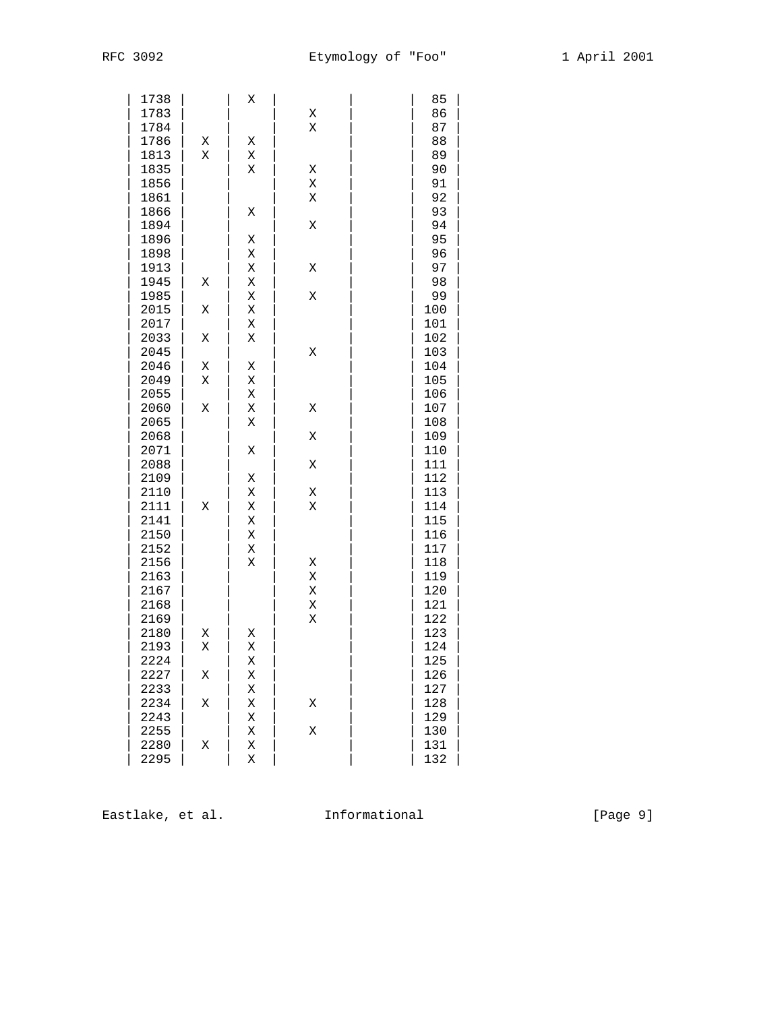| 1738         |   | Χ |   | 85         |  |
|--------------|---|---|---|------------|--|
| 1783         |   |   | Χ | 86         |  |
| 1784         |   |   | Χ | 87         |  |
| 1786         | Χ | Χ |   | 88         |  |
| 1813         | Χ | Χ |   | 89         |  |
| 1835         |   | Χ | Χ | 90         |  |
| 1856         |   |   | Χ | 91         |  |
| 1861         |   |   | Χ | 92         |  |
| 1866         |   | Χ |   | 93         |  |
| 1894         |   |   | Χ | 94         |  |
| 1896         |   | Χ |   | 95         |  |
| 1898         |   | Χ |   | 96         |  |
| 1913         |   | Χ | Χ | 97         |  |
| 1945         | Χ | Χ |   | 98         |  |
| 1985         |   | Χ | Χ | 99         |  |
| 2015         | Χ | Χ |   | 100        |  |
| 2017         |   | Χ |   | 101        |  |
| 2033         | Χ | Χ |   | 102        |  |
| 2045         |   |   | Χ | 103        |  |
| 2046         | Χ | Χ |   | 104        |  |
| 2049         | Χ | Χ |   | 105        |  |
| 2055         |   | Χ |   | 106        |  |
| 2060         | Χ | Χ | Χ | 107        |  |
| 2065         |   | Χ |   | 108        |  |
| 2068         |   |   | Χ | 109        |  |
| 2071         |   | Χ |   | 110        |  |
| 2088         |   |   | Χ | 111        |  |
| 2109         |   | Χ |   | 112        |  |
| 2110         |   | Χ | Χ | 113        |  |
| 2111         | Χ | Χ | Χ | 114        |  |
| 2141         |   | Χ |   | 115        |  |
| 2150         |   | Χ |   | 116        |  |
| 2152         |   | Χ |   | 117        |  |
| 2156         |   | Χ | Χ |            |  |
| 2163         |   |   | Χ | 118<br>119 |  |
| 2167         |   |   |   | 120        |  |
|              |   |   | Χ |            |  |
| 2168<br>2169 |   |   | Χ | 121<br>122 |  |
|              |   |   | Χ |            |  |
| 2180         | Χ | Χ |   | 123        |  |
| 2193         | Χ | Χ |   | 124        |  |
| 2224         |   | Χ |   | 125        |  |
| 2227         | Χ | Χ |   | 126        |  |
| 2233         |   | Χ |   | 127        |  |
| 2234         | Χ | Χ | Χ | 128        |  |
| 2243         |   | Χ |   | 129        |  |
| 2255         |   | Χ | Χ | 130        |  |
| 2280         | Χ | Χ |   | 131        |  |
| 2295         |   | Χ |   | 132        |  |

Eastlake, et al. 1nformational 1999 [Page 9]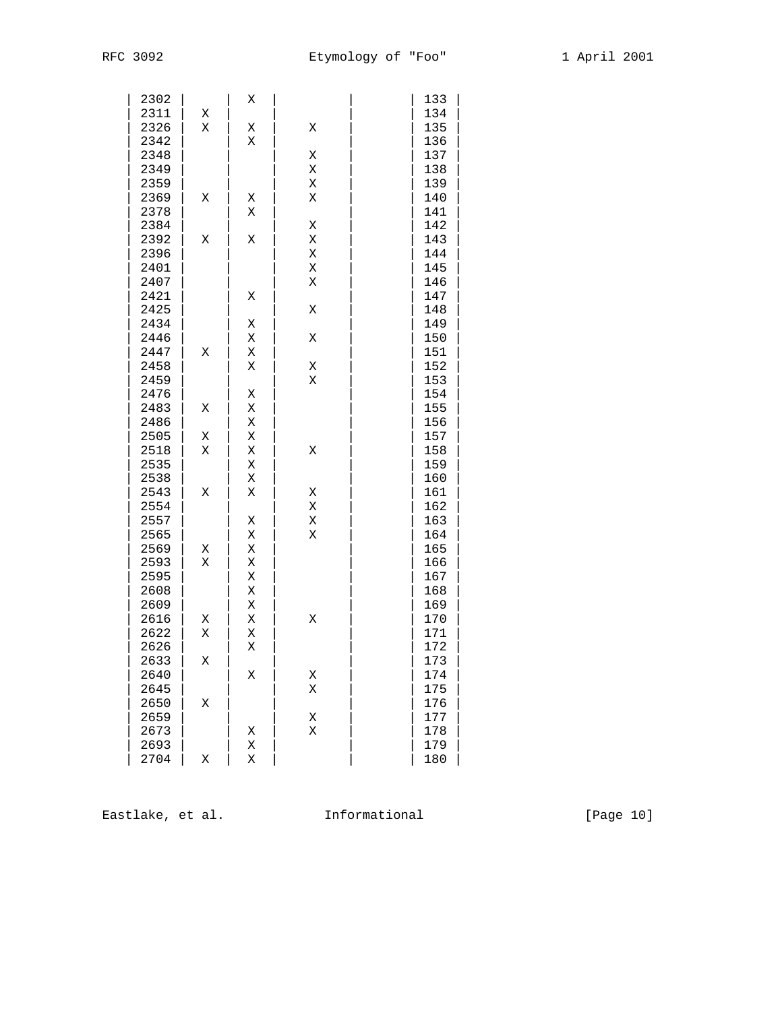| 2302 |   | Χ |   | 133 |  |
|------|---|---|---|-----|--|
| 2311 | Χ |   |   | 134 |  |
| 2326 | Χ | Χ | Χ | 135 |  |
| 2342 |   | Χ |   | 136 |  |
| 2348 |   |   | Χ | 137 |  |
| 2349 |   |   | Χ | 138 |  |
| 2359 |   |   | Χ | 139 |  |
| 2369 | Χ | Χ | Χ | 140 |  |
|      |   |   |   |     |  |
| 2378 |   | Χ |   | 141 |  |
| 2384 |   |   | Χ | 142 |  |
| 2392 | Χ | Χ | Χ | 143 |  |
| 2396 |   |   | Χ | 144 |  |
| 2401 |   |   | Χ | 145 |  |
| 2407 |   |   | Χ | 146 |  |
| 2421 |   | Χ |   | 147 |  |
| 2425 |   |   | Χ | 148 |  |
| 2434 |   | Χ |   | 149 |  |
| 2446 |   | Χ | Χ | 150 |  |
| 2447 | Χ | Χ |   | 151 |  |
| 2458 |   | Χ | Χ | 152 |  |
| 2459 |   |   | Χ | 153 |  |
| 2476 |   | Χ |   | 154 |  |
| 2483 | Χ | Χ |   | 155 |  |
| 2486 |   | Χ |   | 156 |  |
| 2505 | Χ | Χ |   | 157 |  |
| 2518 | Χ | Χ | Χ | 158 |  |
| 2535 |   | Χ |   | 159 |  |
| 2538 |   | Χ |   | 160 |  |
| 2543 | Χ | Χ | Χ | 161 |  |
| 2554 |   |   | Χ | 162 |  |
| 2557 |   | Χ | Χ | 163 |  |
| 2565 |   | Χ | Χ | 164 |  |
| 2569 | Χ | Χ |   | 165 |  |
| 2593 | Χ | Χ |   | 166 |  |
| 2595 |   | Χ |   | 167 |  |
| 2608 |   | Χ |   | 168 |  |
| 2609 |   | Χ |   | 169 |  |
| 2616 | Χ | Χ | Χ | 170 |  |
|      |   |   |   |     |  |
| 2622 | Χ | Χ |   | 171 |  |
| 2626 |   | Χ |   | 172 |  |
| 2633 | Χ |   |   | 173 |  |
| 2640 |   | Χ | Χ | 174 |  |
| 2645 |   |   | Χ | 175 |  |
| 2650 | Χ |   |   | 176 |  |
| 2659 |   |   | Χ | 177 |  |
| 2673 |   | Χ | Χ | 178 |  |
| 2693 |   | Χ |   | 179 |  |
| 2704 | Χ | Χ |   | 180 |  |

Eastlake, et al. 1nformational 1999 [Page 10]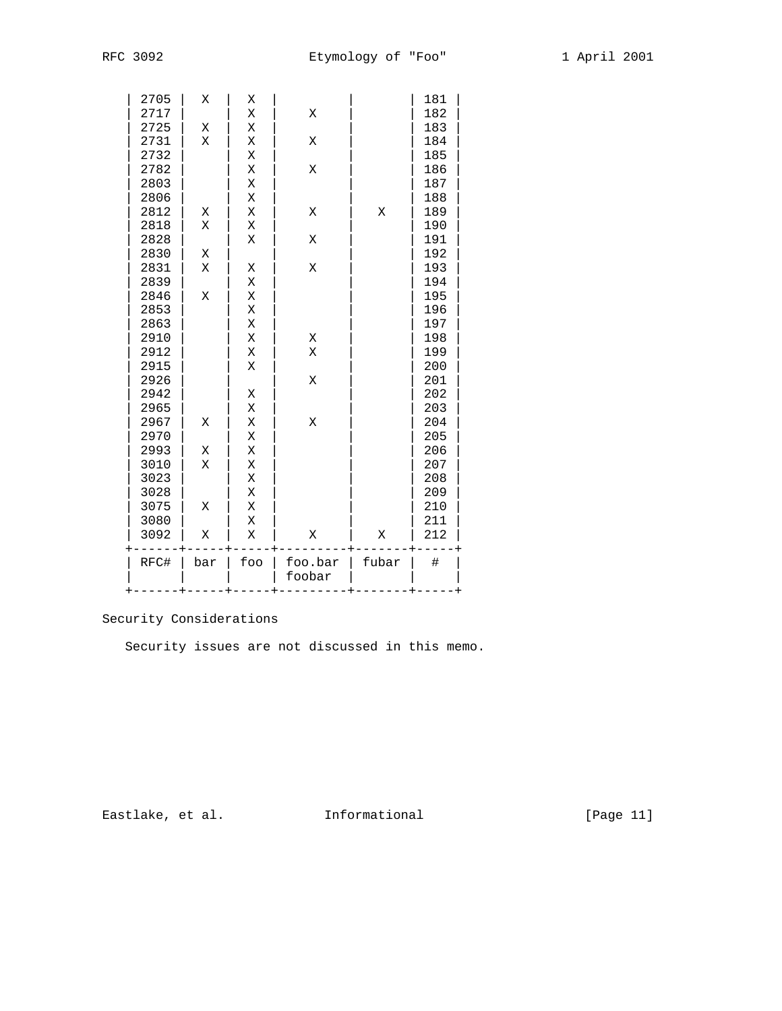| 2705 | Χ   | Χ   |                   |       | 181  |
|------|-----|-----|-------------------|-------|------|
| 2717 |     | Χ   | Χ                 |       | 182  |
| 2725 | Χ   | Χ   |                   |       | 183  |
| 2731 | Χ   | Χ   | Χ                 |       | 184  |
| 2732 |     | Χ   |                   |       | 185  |
| 2782 |     | Χ   | Χ                 |       | 186  |
| 2803 |     | Χ   |                   |       | 187  |
| 2806 |     | Χ   |                   |       | 188  |
| 2812 | Χ   | Χ   | Χ                 | Χ     | 189  |
| 2818 | Χ   | Χ   |                   |       | 190  |
| 2828 |     | X   | Χ                 |       | 191  |
| 2830 | Χ   |     |                   |       | 192  |
| 2831 | X   | Χ   | Χ                 |       | 193  |
| 2839 |     | Χ   |                   |       | 194  |
| 2846 | Χ   | Χ   |                   |       | 195  |
| 2853 |     | X   |                   |       | 196  |
| 2863 |     | X   |                   |       | 197  |
| 2910 |     | Χ   | Χ                 |       | 198  |
| 2912 |     | Χ   | X                 |       | 199  |
| 2915 |     | Χ   |                   |       | 200  |
| 2926 |     |     | Χ                 |       | 201  |
| 2942 |     | Χ   |                   |       | 202  |
| 2965 |     | Χ   |                   |       | 203  |
| 2967 | Χ   | Χ   | Χ                 |       | 204  |
| 2970 |     | Χ   |                   |       | 205  |
| 2993 | Χ   | Χ   |                   |       | 206  |
| 3010 | Χ   | Χ   |                   |       | 207  |
| 3023 |     | X   |                   |       | 208  |
| 3028 |     | Χ   |                   |       | 209  |
| 3075 | Χ   | Χ   |                   |       | 210  |
| 3080 |     | Χ   |                   |       | 211  |
| 3092 | Χ   | Χ   | Χ                 | Χ     | 212  |
| RFC# | bar | foo | foo.bar<br>foobar | fubar | $\#$ |

# Security Considerations

Security issues are not discussed in this memo.

Eastlake, et al. 1nformational 1999 [Page 11]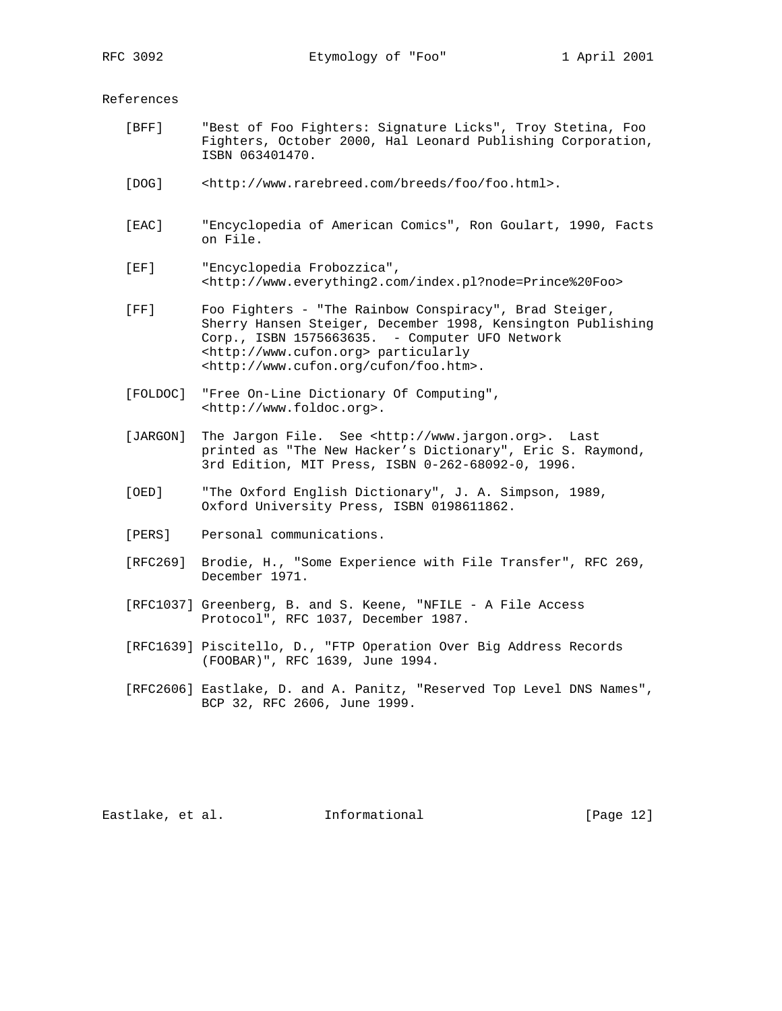References

- [BFF] "Best of Foo Fighters: Signature Licks", Troy Stetina, Foo Fighters, October 2000, Hal Leonard Publishing Corporation, ISBN 063401470.
- [DOG] <http://www.rarebreed.com/breeds/foo/foo.html>.
- [EAC] "Encyclopedia of American Comics", Ron Goulart, 1990, Facts on File.
- [EF] "Encyclopedia Frobozzica", <http://www.everything2.com/index.pl?node=Prince%20Foo>
- [FF] Foo Fighters "The Rainbow Conspiracy", Brad Steiger, Sherry Hansen Steiger, December 1998, Kensington Publishing Corp., ISBN 1575663635. - Computer UFO Network <http://www.cufon.org> particularly <http://www.cufon.org/cufon/foo.htm>.
- [FOLDOC] "Free On-Line Dictionary Of Computing", <http://www.foldoc.org>.
- [JARGON] The Jargon File. See <http://www.jargon.org>. Last printed as "The New Hacker's Dictionary", Eric S. Raymond, 3rd Edition, MIT Press, ISBN 0-262-68092-0, 1996.
- [OED] "The Oxford English Dictionary", J. A. Simpson, 1989, Oxford University Press, ISBN 0198611862.
- [PERS] Personal communications.
- [RFC269] Brodie, H., "Some Experience with File Transfer", RFC 269, December 1971.
- [RFC1037] Greenberg, B. and S. Keene, "NFILE A File Access Protocol", RFC 1037, December 1987.
- [RFC1639] Piscitello, D., "FTP Operation Over Big Address Records (FOOBAR)", RFC 1639, June 1994.
- [RFC2606] Eastlake, D. and A. Panitz, "Reserved Top Level DNS Names", BCP 32, RFC 2606, June 1999.

Eastlake, et al. Informational [Page 12]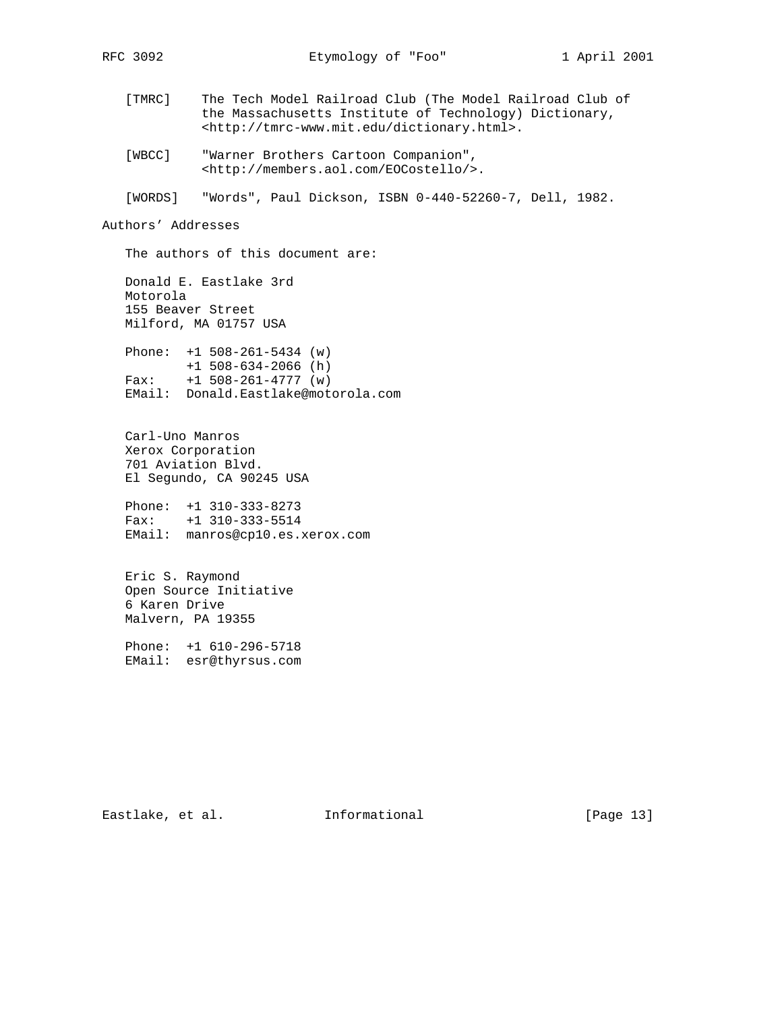- [TMRC] The Tech Model Railroad Club (The Model Railroad Club of the Massachusetts Institute of Technology) Dictionary, <http://tmrc-www.mit.edu/dictionary.html>.
- [WBCC] "Warner Brothers Cartoon Companion", <http://members.aol.com/EOCostello/>.

[WORDS] "Words", Paul Dickson, ISBN 0-440-52260-7, Dell, 1982.

#### Authors' Addresses

The authors of this document are:

 Donald E. Eastlake 3rd Motorola 155 Beaver Street Milford, MA 01757 USA

 Phone: +1 508-261-5434 (w) +1 508-634-2066 (h) Fax: +1 508-261-4777 (w) EMail: Donald.Eastlake@motorola.com

 Carl-Uno Manros Xerox Corporation 701 Aviation Blvd. El Segundo, CA 90245 USA

 Phone: +1 310-333-8273 Fax: +1 310-333-5514 EMail: manros@cp10.es.xerox.com

 Eric S. Raymond Open Source Initiative 6 Karen Drive Malvern, PA 19355

 Phone: +1 610-296-5718 EMail: esr@thyrsus.com